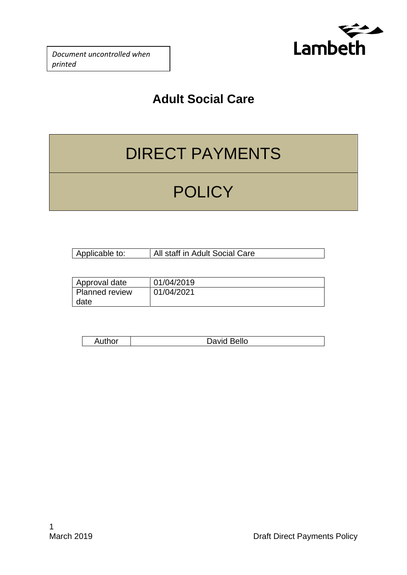

*Document uncontrolled when printed*

### **Adult Social Care**

# DIRECT PAYMENTS

# **POLICY**

| Applicable to: | All staff in Adult Social Care |
|----------------|--------------------------------|

| Approval date         | 01/04/2019 |
|-----------------------|------------|
| <b>Planned review</b> | 01/04/2021 |
| date                  |            |

| $1 + 1 - 1$<br>–<br>ושו | <b>Bello</b><br>๛๛ |
|-------------------------|--------------------|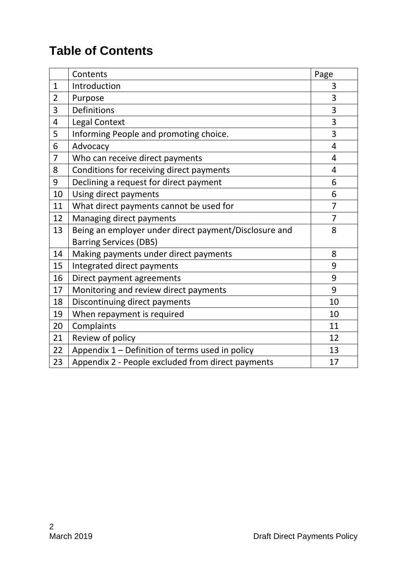### **Table of Contents**

|                | Contents                                              | Page           |
|----------------|-------------------------------------------------------|----------------|
| $\mathbf{1}$   | Introduction                                          | 3              |
| $\overline{2}$ | Purpose                                               | 3              |
| 3              | <b>Definitions</b>                                    | 3              |
| 4              | Legal Context                                         | 3              |
| 5              | Informing People and promoting choice.                | 3              |
| 6              | Advocacy                                              | 4              |
| $\overline{7}$ | Who can receive direct payments                       | 4              |
| 8              | Conditions for receiving direct payments              | 4              |
| 9              | Declining a request for direct payment                | 6              |
| 10             | Using direct payments                                 | 6              |
| 11             | What direct payments cannot be used for               | $\overline{7}$ |
| 12             | Managing direct payments                              | $\overline{7}$ |
| 13             | Being an employer under direct payment/Disclosure and | 8              |
|                | <b>Barring Services (DBS)</b>                         |                |
| 14             | Making payments under direct payments                 | 8              |
| 15             | Integrated direct payments                            | 9              |
| 16             | Direct payment agreements                             | 9              |
| 17             | Monitoring and review direct payments                 | 9              |
| 18             | Discontinuing direct payments                         | 10             |
| 19             | When repayment is required                            | 10             |
| 20             | Complaints                                            | 11             |
| 21             | Review of policy                                      | 12             |
| 22             | Appendix 1 – Definition of terms used in policy       | 13             |
| 23             | Appendix 2 - People excluded from direct payments     | 17             |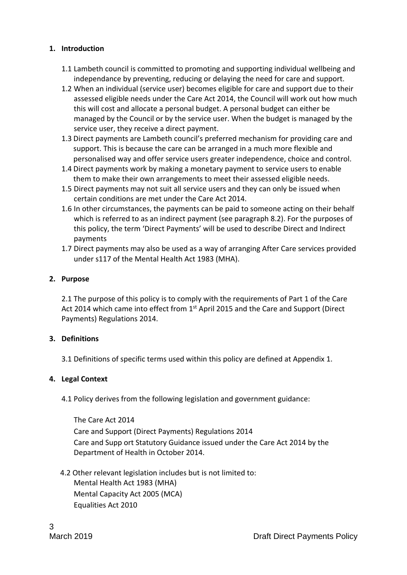#### **1. Introduction**

- 1.1 Lambeth council is committed to promoting and supporting individual wellbeing and independance by preventing, reducing or delaying the need for care and support.
- 1.2 When an individual (service user) becomes eligible for care and support due to their assessed eligible needs under the Care Act 2014, the Council will work out how much this will cost and allocate a personal budget. A personal budget can either be managed by the Council or by the service user. When the budget is managed by the service user, they receive a direct payment.
- 1.3 Direct payments are Lambeth council's preferred mechanism for providing care and support. This is because the care can be arranged in a much more flexible and personalised way and offer service users greater independence, choice and control.
- 1.4 Direct payments work by making a monetary payment to service users to enable them to make their own arrangements to meet their assessed eligible needs.
- 1.5 Direct payments may not suit all service users and they can only be issued when certain conditions are met under the Care Act 2014.
- 1.6 In other circumstances, the payments can be paid to someone acting on their behalf which is referred to as an indirect payment (see paragraph 8.2). For the purposes of this policy, the term 'Direct Payments' will be used to describe Direct and Indirect payments
- 1.7 Direct payments may also be used as a way of arranging After Care services provided under s117 of the Mental Health Act 1983 (MHA).

#### **2. Purpose**

2.1 The purpose of this policy is to comply with the requirements of Part 1 of the Care Act 2014 which came into effect from  $1<sup>st</sup>$  April 2015 and the Care and Support (Direct Payments) Regulations 2014.

#### **3. Definitions**

3.1 Definitions of specific terms used within this policy are defined at Appendix 1.

#### **4. Legal Context**

4.1 Policy derives from the following legislation and government guidance:

The Care Act 2014 Care and Support (Direct Payments) Regulations 2014 Care and Supp ort Statutory Guidance issued under the Care Act 2014 by the Department of Health in October 2014.

4.2 Other relevant legislation includes but is not limited to:

Mental Health Act 1983 (MHA) Mental Capacity Act 2005 (MCA) Equalities Act 2010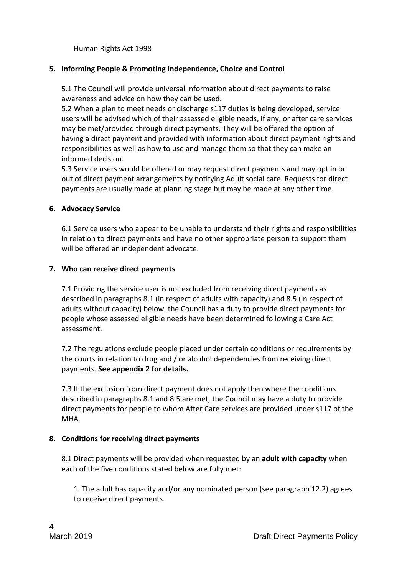Human Rights Act 1998

#### **5. Informing People & Promoting Independence, Choice and Control**

5.1 The Council will provide universal information about direct payments to raise awareness and advice on how they can be used.

5.2 When a plan to meet needs or discharge s117 duties is being developed, service users will be advised which of their assessed eligible needs, if any, or after care services may be met/provided through direct payments. They will be offered the option of having a direct payment and provided with information about direct payment rights and responsibilities as well as how to use and manage them so that they can make an informed decision.

5.3 Service users would be offered or may request direct payments and may opt in or out of direct payment arrangements by notifying Adult social care. Requests for direct payments are usually made at planning stage but may be made at any other time.

#### **6. Advocacy Service**

6.1 Service users who appear to be unable to understand their rights and responsibilities in relation to direct payments and have no other appropriate person to support them will be offered an independent advocate.

#### **7. Who can receive direct payments**

7.1 Providing the service user is not excluded from receiving direct payments as described in paragraphs 8.1 (in respect of adults with capacity) and 8.5 (in respect of adults without capacity) below, the Council has a duty to provide direct payments for people whose assessed eligible needs have been determined following a Care Act assessment.

7.2 The regulations exclude people placed under certain conditions or requirements by the courts in relation to drug and / or alcohol dependencies from receiving direct payments. **See appendix 2 for details.**

7.3 If the exclusion from direct payment does not apply then where the conditions described in paragraphs 8.1 and 8.5 are met, the Council may have a duty to provide direct payments for people to whom After Care services are provided under s117 of the MHA.

#### **8. Conditions for receiving direct payments**

8.1 Direct payments will be provided when requested by an **adult with capacity** when each of the five conditions stated below are fully met:

1. The adult has capacity and/or any nominated person (see paragraph 12.2) agrees to receive direct payments.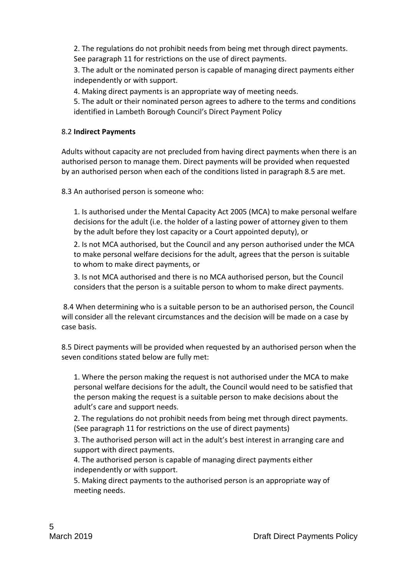2. The regulations do not prohibit needs from being met through direct payments. See paragraph 11 for restrictions on the use of direct payments.

3. The adult or the nominated person is capable of managing direct payments either independently or with support.

4. Making direct payments is an appropriate way of meeting needs.

5. The adult or their nominated person agrees to adhere to the terms and conditions identified in Lambeth Borough Council's Direct Payment Policy

#### 8.2 **Indirect Payments**

Adults without capacity are not precluded from having direct payments when there is an authorised person to manage them. Direct payments will be provided when requested by an authorised person when each of the conditions listed in paragraph 8.5 are met.

8.3 An authorised person is someone who:

1. Is authorised under the Mental Capacity Act 2005 (MCA) to make personal welfare decisions for the adult (i.e. the holder of a lasting power of attorney given to them by the adult before they lost capacity or a Court appointed deputy), or

2. Is not MCA authorised, but the Council and any person authorised under the MCA to make personal welfare decisions for the adult, agrees that the person is suitable to whom to make direct payments, or

3. Is not MCA authorised and there is no MCA authorised person, but the Council considers that the person is a suitable person to whom to make direct payments.

8.4 When determining who is a suitable person to be an authorised person, the Council will consider all the relevant circumstances and the decision will be made on a case by case basis.

8.5 Direct payments will be provided when requested by an authorised person when the seven conditions stated below are fully met:

1. Where the person making the request is not authorised under the MCA to make personal welfare decisions for the adult, the Council would need to be satisfied that the person making the request is a suitable person to make decisions about the adult's care and support needs.

2. The regulations do not prohibit needs from being met through direct payments. (See paragraph 11 for restrictions on the use of direct payments)

3. The authorised person will act in the adult's best interest in arranging care and support with direct payments.

4. The authorised person is capable of managing direct payments either independently or with support.

5. Making direct payments to the authorised person is an appropriate way of meeting needs.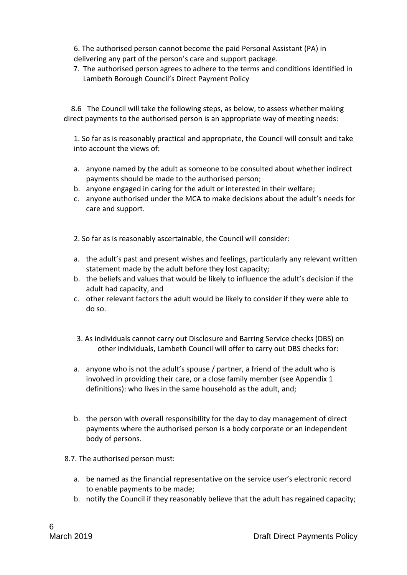6. The authorised person cannot become the paid Personal Assistant (PA) in delivering any part of the person's care and support package.

7. The authorised person agrees to adhere to the terms and conditions identified in Lambeth Borough Council's Direct Payment Policy

 8.6 The Council will take the following steps, as below, to assess whether making direct payments to the authorised person is an appropriate way of meeting needs:

1. So far as is reasonably practical and appropriate, the Council will consult and take into account the views of:

- a. anyone named by the adult as someone to be consulted about whether indirect payments should be made to the authorised person;
- b. anyone engaged in caring for the adult or interested in their welfare;
- c. anyone authorised under the MCA to make decisions about the adult's needs for care and support.

2. So far as is reasonably ascertainable, the Council will consider:

- a. the adult's past and present wishes and feelings, particularly any relevant written statement made by the adult before they lost capacity;
- b. the beliefs and values that would be likely to influence the adult's decision if the adult had capacity, and
- c. other relevant factors the adult would be likely to consider if they were able to do so.
- 3. As individuals cannot carry out Disclosure and Barring Service checks (DBS) on other individuals, Lambeth Council will offer to carry out DBS checks for:
- a. anyone who is not the adult's spouse / partner, a friend of the adult who is involved in providing their care, or a close family member (see Appendix 1 definitions): who lives in the same household as the adult, and;
- b. the person with overall responsibility for the day to day management of direct payments where the authorised person is a body corporate or an independent body of persons.
- 8.7. The authorised person must:
	- a. be named as the financial representative on the service user's electronic record to enable payments to be made;
	- b. notify the Council if they reasonably believe that the adult has regained capacity;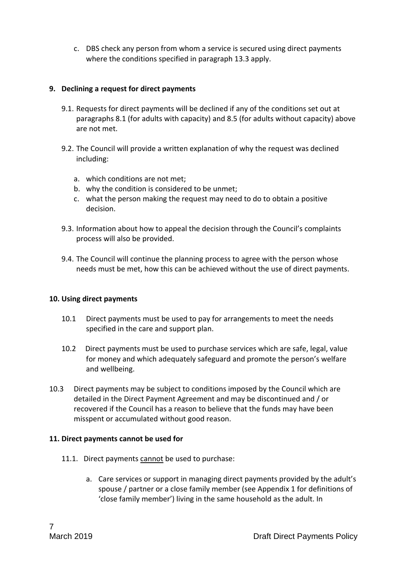c. DBS check any person from whom a service is secured using direct payments where the conditions specified in paragraph 13.3 apply.

#### **9. Declining a request for direct payments**

- 9.1. Requests for direct payments will be declined if any of the conditions set out at paragraphs 8.1 (for adults with capacity) and 8.5 (for adults without capacity) above are not met.
- 9.2. The Council will provide a written explanation of why the request was declined including:
	- a. which conditions are not met;
	- b. why the condition is considered to be unmet;
	- c. what the person making the request may need to do to obtain a positive decision.
- 9.3. Information about how to appeal the decision through the Council's complaints process will also be provided.
- 9.4. The Council will continue the planning process to agree with the person whose needs must be met, how this can be achieved without the use of direct payments.

#### **10. Using direct payments**

- 10.1 Direct payments must be used to pay for arrangements to meet the needs specified in the care and support plan.
- 10.2 Direct payments must be used to purchase services which are safe, legal, value for money and which adequately safeguard and promote the person's welfare and wellbeing.
- 10.3 Direct payments may be subject to conditions imposed by the Council which are detailed in the Direct Payment Agreement and may be discontinued and / or recovered if the Council has a reason to believe that the funds may have been misspent or accumulated without good reason.

#### **11. Direct payments cannot be used for**

- 11.1. Direct payments cannot be used to purchase:
	- a. Care services or support in managing direct payments provided by the adult's spouse / partner or a close family member (see Appendix 1 for definitions of 'close family member') living in the same household as the adult. In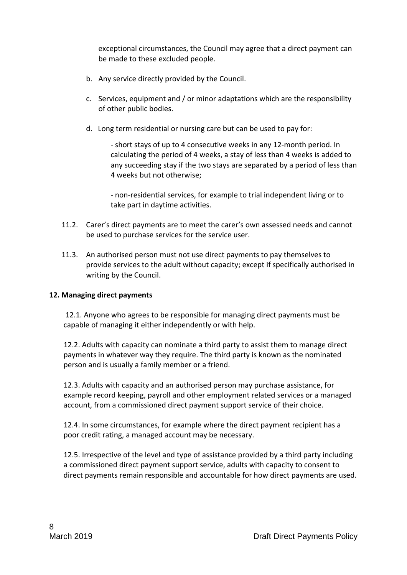exceptional circumstances, the Council may agree that a direct payment can be made to these excluded people.

- b. Any service directly provided by the Council.
- c. Services, equipment and / or minor adaptations which are the responsibility of other public bodies.
- d. Long term residential or nursing care but can be used to pay for:

- short stays of up to 4 consecutive weeks in any 12-month period. In calculating the period of 4 weeks, a stay of less than 4 weeks is added to any succeeding stay if the two stays are separated by a period of less than 4 weeks but not otherwise;

- non-residential services, for example to trial independent living or to take part in daytime activities.

- 11.2. Carer's direct payments are to meet the carer's own assessed needs and cannot be used to purchase services for the service user.
- 11.3. An authorised person must not use direct payments to pay themselves to provide services to the adult without capacity; except if specifically authorised in writing by the Council.

#### **12. Managing direct payments**

12.1. Anyone who agrees to be responsible for managing direct payments must be capable of managing it either independently or with help.

12.2. Adults with capacity can nominate a third party to assist them to manage direct payments in whatever way they require. The third party is known as the nominated person and is usually a family member or a friend.

12.3. Adults with capacity and an authorised person may purchase assistance, for example record keeping, payroll and other employment related services or a managed account, from a commissioned direct payment support service of their choice.

12.4. In some circumstances, for example where the direct payment recipient has a poor credit rating, a managed account may be necessary.

12.5. Irrespective of the level and type of assistance provided by a third party including a commissioned direct payment support service, adults with capacity to consent to direct payments remain responsible and accountable for how direct payments are used.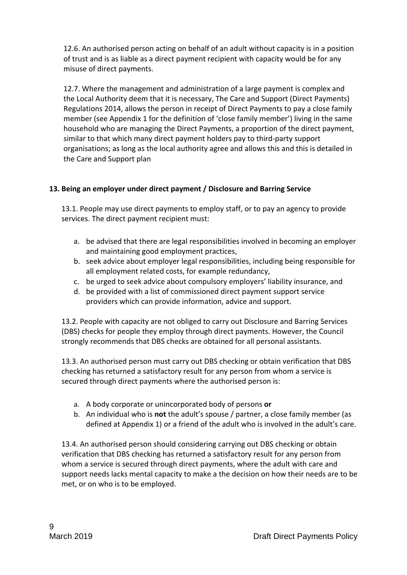12.6. An authorised person acting on behalf of an adult without capacity is in a position of trust and is as liable as a direct payment recipient with capacity would be for any misuse of direct payments.

12.7. Where the management and administration of a large payment is complex and the Local Authority deem that it is necessary, The Care and Support (Direct Payments) Regulations 2014, allows the person in receipt of Direct Payments to pay a close family member (see Appendix 1 for the definition of 'close family member') living in the same household who are managing the Direct Payments, a proportion of the direct payment, similar to that which many direct payment holders pay to third-party support organisations; as long as the local authority agree and allows this and this is detailed in the Care and Support plan

#### **13. Being an employer under direct payment / Disclosure and Barring Service**

13.1. People may use direct payments to employ staff, or to pay an agency to provide services. The direct payment recipient must:

- a. be advised that there are legal responsibilities involved in becoming an employer and maintaining good employment practices,
- b. seek advice about employer legal responsibilities, including being responsible for all employment related costs, for example redundancy,
- c. be urged to seek advice about compulsory employers' liability insurance, and
- d. be provided with a list of commissioned direct payment support service providers which can provide information, advice and support.

13.2. People with capacity are not obliged to carry out Disclosure and Barring Services (DBS) checks for people they employ through direct payments. However, the Council strongly recommends that DBS checks are obtained for all personal assistants.

13.3. An authorised person must carry out DBS checking or obtain verification that DBS checking has returned a satisfactory result for any person from whom a service is secured through direct payments where the authorised person is:

- a. A body corporate or unincorporated body of persons **or**
- b. An individual who is **not** the adult's spouse / partner, a close family member (as defined at Appendix 1) or a friend of the adult who is involved in the adult's care.

13.4. An authorised person should considering carrying out DBS checking or obtain verification that DBS checking has returned a satisfactory result for any person from whom a service is secured through direct payments, where the adult with care and support needs lacks mental capacity to make a the decision on how their needs are to be met, or on who is to be employed.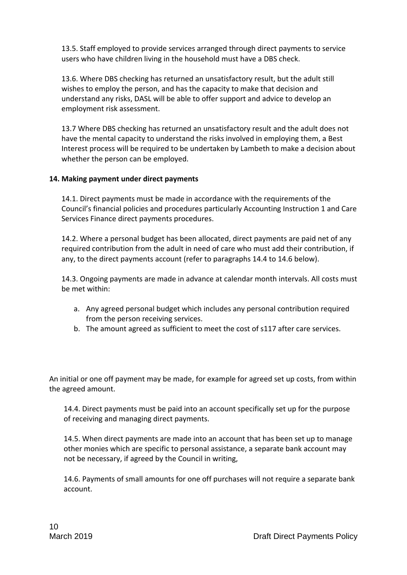13.5. Staff employed to provide services arranged through direct payments to service users who have children living in the household must have a DBS check.

13.6. Where DBS checking has returned an unsatisfactory result, but the adult still wishes to employ the person, and has the capacity to make that decision and understand any risks, DASL will be able to offer support and advice to develop an employment risk assessment.

13.7 Where DBS checking has returned an unsatisfactory result and the adult does not have the mental capacity to understand the risks involved in employing them, a Best Interest process will be required to be undertaken by Lambeth to make a decision about whether the person can be employed.

#### **14. Making payment under direct payments**

14.1. Direct payments must be made in accordance with the requirements of the Council's financial policies and procedures particularly Accounting Instruction 1 and Care Services Finance direct payments procedures.

14.2. Where a personal budget has been allocated, direct payments are paid net of any required contribution from the adult in need of care who must add their contribution, if any, to the direct payments account (refer to paragraphs 14.4 to 14.6 below).

14.3. Ongoing payments are made in advance at calendar month intervals. All costs must be met within:

- a. Any agreed personal budget which includes any personal contribution required from the person receiving services.
- b. The amount agreed as sufficient to meet the cost of s117 after care services.

An initial or one off payment may be made, for example for agreed set up costs, from within the agreed amount.

14.4. Direct payments must be paid into an account specifically set up for the purpose of receiving and managing direct payments.

14.5. When direct payments are made into an account that has been set up to manage other monies which are specific to personal assistance, a separate bank account may not be necessary, if agreed by the Council in writing,

14.6. Payments of small amounts for one off purchases will not require a separate bank account.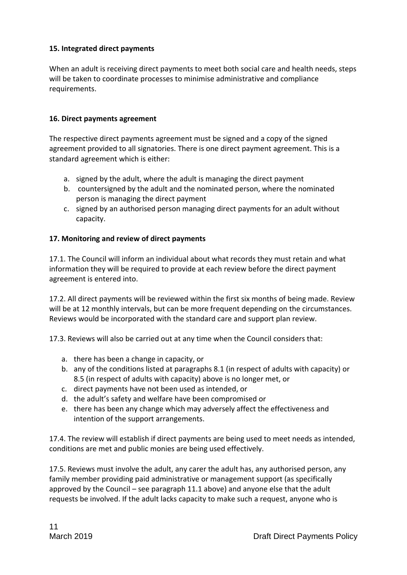#### **15. Integrated direct payments**

When an adult is receiving direct payments to meet both social care and health needs, steps will be taken to coordinate processes to minimise administrative and compliance requirements.

#### **16. Direct payments agreement**

The respective direct payments agreement must be signed and a copy of the signed agreement provided to all signatories. There is one direct payment agreement. This is a standard agreement which is either:

- a. signed by the adult, where the adult is managing the direct payment
- b. countersigned by the adult and the nominated person, where the nominated person is managing the direct payment
- c. signed by an authorised person managing direct payments for an adult without capacity.

#### **17. Monitoring and review of direct payments**

17.1. The Council will inform an individual about what records they must retain and what information they will be required to provide at each review before the direct payment agreement is entered into.

17.2. All direct payments will be reviewed within the first six months of being made. Review will be at 12 monthly intervals, but can be more frequent depending on the circumstances. Reviews would be incorporated with the standard care and support plan review.

17.3. Reviews will also be carried out at any time when the Council considers that:

- a. there has been a change in capacity, or
- b. any of the conditions listed at paragraphs 8.1 (in respect of adults with capacity) or 8.5 (in respect of adults with capacity) above is no longer met, or
- c. direct payments have not been used as intended, or
- d. the adult's safety and welfare have been compromised or
- e. there has been any change which may adversely affect the effectiveness and intention of the support arrangements.

17.4. The review will establish if direct payments are being used to meet needs as intended, conditions are met and public monies are being used effectively.

17.5. Reviews must involve the adult, any carer the adult has, any authorised person, any family member providing paid administrative or management support (as specifically approved by the Council – see paragraph 11.1 above) and anyone else that the adult requests be involved. If the adult lacks capacity to make such a request, anyone who is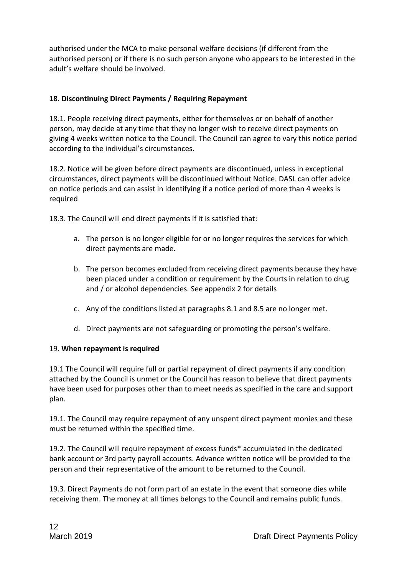authorised under the MCA to make personal welfare decisions (if different from the authorised person) or if there is no such person anyone who appears to be interested in the adult's welfare should be involved.

#### **18. Discontinuing Direct Payments / Requiring Repayment**

18.1. People receiving direct payments, either for themselves or on behalf of another person, may decide at any time that they no longer wish to receive direct payments on giving 4 weeks written notice to the Council. The Council can agree to vary this notice period according to the individual's circumstances.

18.2. Notice will be given before direct payments are discontinued, unless in exceptional circumstances, direct payments will be discontinued without Notice. DASL can offer advice on notice periods and can assist in identifying if a notice period of more than 4 weeks is required

18.3. The Council will end direct payments if it is satisfied that:

- a. The person is no longer eligible for or no longer requires the services for which direct payments are made.
- b. The person becomes excluded from receiving direct payments because they have been placed under a condition or requirement by the Courts in relation to drug and / or alcohol dependencies. See appendix 2 for details
- c. Any of the conditions listed at paragraphs 8.1 and 8.5 are no longer met.
- d. Direct payments are not safeguarding or promoting the person's welfare.

#### 19. **When repayment is required**

19.1 The Council will require full or partial repayment of direct payments if any condition attached by the Council is unmet or the Council has reason to believe that direct payments have been used for purposes other than to meet needs as specified in the care and support plan.

19.1. The Council may require repayment of any unspent direct payment monies and these must be returned within the specified time.

19.2. The Council will require repayment of excess funds\* accumulated in the dedicated bank account or 3rd party payroll accounts. Advance written notice will be provided to the person and their representative of the amount to be returned to the Council.

19.3. Direct Payments do not form part of an estate in the event that someone dies while receiving them. The money at all times belongs to the Council and remains public funds.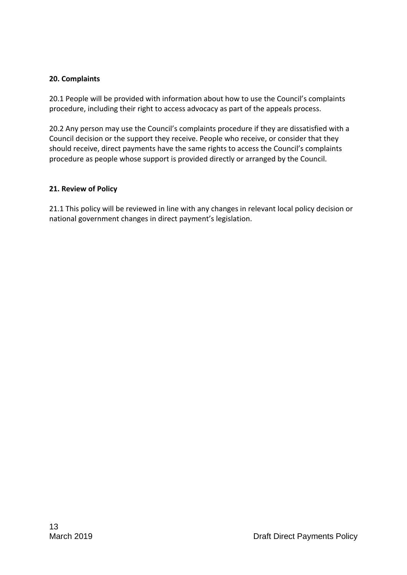#### **20. Complaints**

20.1 People will be provided with information about how to use the Council's complaints procedure, including their right to access advocacy as part of the appeals process.

20.2 Any person may use the Council's complaints procedure if they are dissatisfied with a Council decision or the support they receive. People who receive, or consider that they should receive, direct payments have the same rights to access the Council's complaints procedure as people whose support is provided directly or arranged by the Council.

#### **21. Review of Policy**

21.1 This policy will be reviewed in line with any changes in relevant local policy decision or national government changes in direct payment's legislation.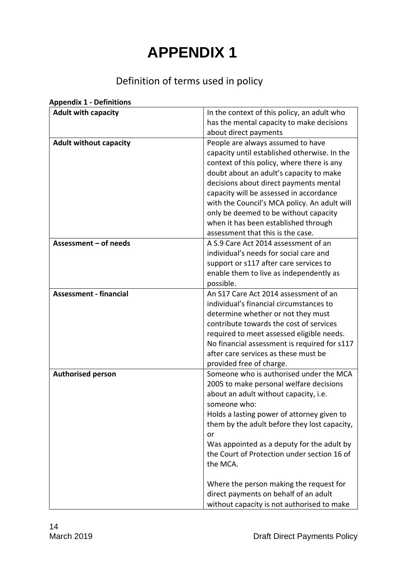## **APPENDIX 1**

### Definition of terms used in policy

| <b>Adult with capacity</b>    | In the context of this policy, an adult who      |
|-------------------------------|--------------------------------------------------|
|                               | has the mental capacity to make decisions        |
|                               | about direct payments                            |
| <b>Adult without capacity</b> | People are always assumed to have                |
|                               | capacity until established otherwise. In the     |
|                               | context of this policy, where there is any       |
|                               | doubt about an adult's capacity to make          |
|                               |                                                  |
|                               | decisions about direct payments mental           |
|                               | capacity will be assessed in accordance          |
|                               | with the Council's MCA policy. An adult will     |
|                               | only be deemed to be without capacity            |
|                               | when it has been established through             |
|                               | assessment that this is the case.                |
| Assessment - of needs         | A S.9 Care Act 2014 assessment of an             |
|                               | individual's needs for social care and           |
|                               | support or s117 after care services to           |
|                               | enable them to live as independently as          |
|                               | possible.                                        |
| <b>Assessment - financial</b> | An S17 Care Act 2014 assessment of an            |
|                               | individual's financial circumstances to          |
|                               | determine whether or not they must               |
|                               | contribute towards the cost of services          |
|                               | required to meet assessed eligible needs.        |
|                               | No financial assessment is required for s117     |
|                               | after care services as these must be             |
|                               | provided free of charge.                         |
| <b>Authorised person</b>      | Someone who is authorised under the MCA          |
|                               | 2005 to make personal welfare decisions          |
|                               | about an adult without capacity, i.e.            |
|                               | someone who:                                     |
|                               | Holds a lasting power of attorney given to       |
|                               | them by the adult before they lost capacity,     |
|                               |                                                  |
|                               | or<br>Was appointed as a deputy for the adult by |
|                               | the Court of Protection under section 16 of      |
|                               |                                                  |
|                               | the MCA.                                         |
|                               | Where the person making the request for          |
|                               | direct payments on behalf of an adult            |
|                               | without capacity is not authorised to make       |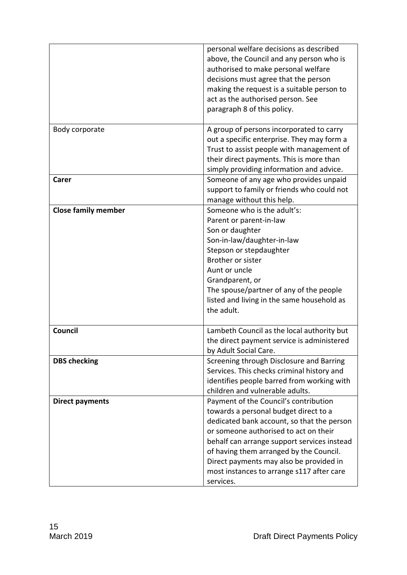|                            | personal welfare decisions as described<br>above, the Council and any person who is<br>authorised to make personal welfare<br>decisions must agree that the person<br>making the request is a suitable person to<br>act as the authorised person. See<br>paragraph 8 of this policy.                                                                                 |
|----------------------------|----------------------------------------------------------------------------------------------------------------------------------------------------------------------------------------------------------------------------------------------------------------------------------------------------------------------------------------------------------------------|
| Body corporate             | A group of persons incorporated to carry<br>out a specific enterprise. They may form a<br>Trust to assist people with management of<br>their direct payments. This is more than<br>simply providing information and advice.                                                                                                                                          |
| Carer                      | Someone of any age who provides unpaid<br>support to family or friends who could not<br>manage without this help.                                                                                                                                                                                                                                                    |
| <b>Close family member</b> | Someone who is the adult's:<br>Parent or parent-in-law<br>Son or daughter<br>Son-in-law/daughter-in-law<br>Stepson or stepdaughter<br>Brother or sister<br>Aunt or uncle<br>Grandparent, or<br>The spouse/partner of any of the people<br>listed and living in the same household as<br>the adult.                                                                   |
| <b>Council</b>             | Lambeth Council as the local authority but<br>the direct payment service is administered<br>by Adult Social Care.                                                                                                                                                                                                                                                    |
| <b>DBS checking</b>        | Screening through Disclosure and Barring<br>Services. This checks criminal history and<br>identifies people barred from working with<br>children and vulnerable adults.                                                                                                                                                                                              |
| <b>Direct payments</b>     | Payment of the Council's contribution<br>towards a personal budget direct to a<br>dedicated bank account, so that the person<br>or someone authorised to act on their<br>behalf can arrange support services instead<br>of having them arranged by the Council.<br>Direct payments may also be provided in<br>most instances to arrange s117 after care<br>services. |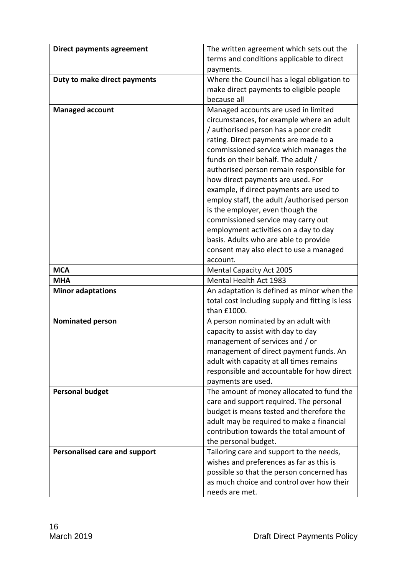| <b>Direct payments agreement</b>     | The written agreement which sets out the        |
|--------------------------------------|-------------------------------------------------|
|                                      | terms and conditions applicable to direct       |
|                                      |                                                 |
|                                      | payments.                                       |
| Duty to make direct payments         | Where the Council has a legal obligation to     |
|                                      | make direct payments to eligible people         |
|                                      | because all                                     |
| <b>Managed account</b>               | Managed accounts are used in limited            |
|                                      | circumstances, for example where an adult       |
|                                      | / authorised person has a poor credit           |
|                                      | rating. Direct payments are made to a           |
|                                      | commissioned service which manages the          |
|                                      | funds on their behalf. The adult /              |
|                                      | authorised person remain responsible for        |
|                                      | how direct payments are used. For               |
|                                      | example, if direct payments are used to         |
|                                      | employ staff, the adult /authorised person      |
|                                      | is the employer, even though the                |
|                                      | commissioned service may carry out              |
|                                      | employment activities on a day to day           |
|                                      | basis. Adults who are able to provide           |
|                                      | consent may also elect to use a managed         |
|                                      | account.                                        |
| <b>MCA</b>                           |                                                 |
|                                      | <b>Mental Capacity Act 2005</b>                 |
| <b>MHA</b>                           | <b>Mental Health Act 1983</b>                   |
| <b>Minor adaptations</b>             | An adaptation is defined as minor when the      |
|                                      | total cost including supply and fitting is less |
|                                      | than £1000.                                     |
| <b>Nominated person</b>              | A person nominated by an adult with             |
|                                      | capacity to assist with day to day              |
|                                      | management of services and / or                 |
|                                      | management of direct payment funds. An          |
|                                      | adult with capacity at all times remains        |
|                                      | responsible and accountable for how direct      |
|                                      | payments are used.                              |
| <b>Personal budget</b>               | The amount of money allocated to fund the       |
|                                      | care and support required. The personal         |
|                                      | budget is means tested and therefore the        |
|                                      | adult may be required to make a financial       |
|                                      | contribution towards the total amount of        |
|                                      | the personal budget.                            |
| <b>Personalised care and support</b> | Tailoring care and support to the needs,        |
|                                      | wishes and preferences as far as this is        |
|                                      | possible so that the person concerned has       |
|                                      | as much choice and control over how their       |
|                                      | needs are met.                                  |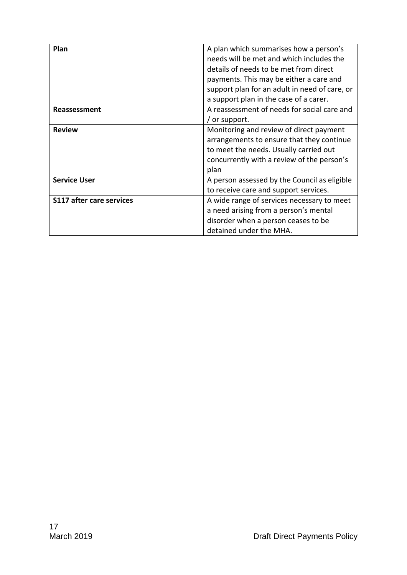| Plan                            | A plan which summarises how a person's<br>needs will be met and which includes the<br>details of needs to be met from direct<br>payments. This may be either a care and<br>support plan for an adult in need of care, or<br>a support plan in the case of a carer. |
|---------------------------------|--------------------------------------------------------------------------------------------------------------------------------------------------------------------------------------------------------------------------------------------------------------------|
| Reassessment                    | A reassessment of needs for social care and<br>/ or support.                                                                                                                                                                                                       |
| <b>Review</b>                   | Monitoring and review of direct payment<br>arrangements to ensure that they continue<br>to meet the needs. Usually carried out<br>concurrently with a review of the person's<br>plan                                                                               |
| <b>Service User</b>             | A person assessed by the Council as eligible<br>to receive care and support services.                                                                                                                                                                              |
| <b>S117 after care services</b> | A wide range of services necessary to meet<br>a need arising from a person's mental<br>disorder when a person ceases to be<br>detained under the MHA.                                                                                                              |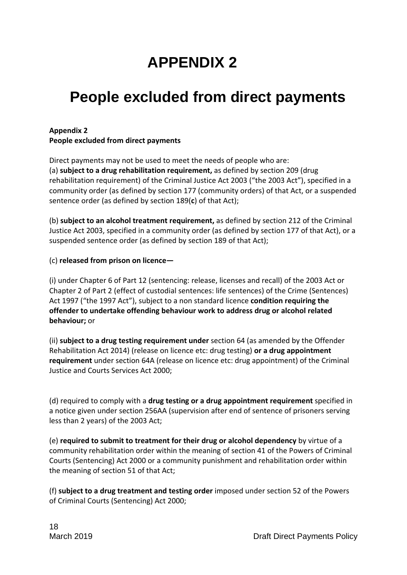## **APPENDIX 2**

## **People excluded from direct payments**

#### **Appendix 2 People excluded from direct payments**

Direct payments may not be used to meet the needs of people who are: (a) **subject to a drug rehabilitation requirement,** as defined by section 209 (drug rehabilitation requirement) of the Criminal Justice Act 2003 ("the 2003 Act"), specified in a community order (as defined by section 177 (community orders) of that Act, or a suspended sentence order (as defined by section 189(**c**) of that Act);

(b) **subject to an alcohol treatment requirement,** as defined by section 212 of the Criminal Justice Act 2003, specified in a community order (as defined by section 177 of that Act), or a suspended sentence order (as defined by section 189 of that Act);

#### (c) **released from prison on licence—**

(i) under Chapter 6 of Part 12 (sentencing: release, licenses and recall) of the 2003 Act or Chapter 2 of Part 2 (effect of custodial sentences: life sentences) of the Crime (Sentences) Act 1997 ("the 1997 Act"), subject to a non standard licence **condition requiring the offender to undertake offending behaviour work to address drug or alcohol related behaviour;** or

(ii) **subject to a drug testing requirement under** section 64 (as amended by the Offender Rehabilitation Act 2014) (release on licence etc: drug testing) **or a drug appointment requirement** under section 64A (release on licence etc: drug appointment) of the Criminal Justice and Courts Services Act 2000;

(d) required to comply with a **drug testing or a drug appointment requirement** specified in a notice given under section 256AA (supervision after end of sentence of prisoners serving less than 2 years) of the 2003 Act;

(e) **required to submit to treatment for their drug or alcohol dependency** by virtue of a community rehabilitation order within the meaning of section 41 of the Powers of Criminal Courts (Sentencing) Act 2000 or a community punishment and rehabilitation order within the meaning of section 51 of that Act;

(f) **subject to a drug treatment and testing order** imposed under section 52 of the Powers of Criminal Courts (Sentencing) Act 2000;